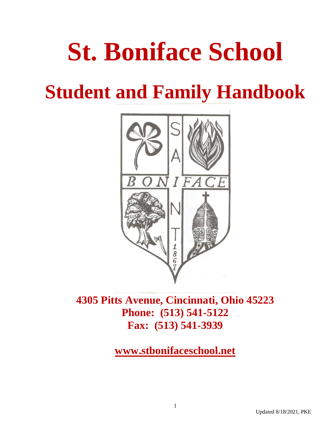# **St. Boniface School**

## **Student and Family Handbook**



**4305 Pitts Avenue, Cincinnati, Ohio 45223 Phone: (513) 541-5122 Fax: (513) 541-3939**

**[www.stbonifaceschool.net](http://www.stbonifaceschool.net)**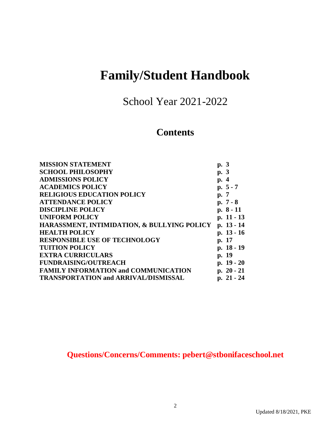### **Family/Student Handbook**

School Year 2021-2022

#### **Contents**

| <b>MISSION STATEMENT</b>                               | p. 3         |
|--------------------------------------------------------|--------------|
| <b>SCHOOL PHILOSOPHY</b>                               | p. 3         |
| <b>ADMISSIONS POLICY</b>                               | p. 4         |
| <b>ACADEMICS POLICY</b>                                | $p. 5 - 7$   |
| <b>RELIGIOUS EDUCATION POLICY</b>                      | p. 7         |
| <b>ATTENDANCE POLICY</b>                               | p. $7 - 8$   |
| <b>DISCIPLINE POLICY</b>                               | $p. 8 - 11$  |
| <b>UNIFORM POLICY</b>                                  | p. 11 - 13   |
| <b>HARASSMENT, INTIMIDATION, &amp; BULLYING POLICY</b> | p. 13 - 14   |
| <b>HEALTH POLICY</b>                                   | p. 13 - 16   |
| <b>RESPONSIBLE USE OF TECHNOLOGY</b>                   | p. 17        |
| <b>TUITION POLICY</b>                                  | p. 18 - 19   |
| <b>EXTRA CURRICULARS</b>                               | p. 19        |
| <b>FUNDRAISING/OUTREACH</b>                            | p. $19 - 20$ |
| <b>FAMILY INFORMATION and COMMUNICATION</b>            | p. $20 - 21$ |
| <b>TRANSPORTATION and ARRIVAL/DISMISSAL</b>            | p. 21 - 24   |
|                                                        |              |

**Questions/Concerns/Comments: [pebert@stbonifaceschool.net](mailto:pebert@stbonifaceschool.net)**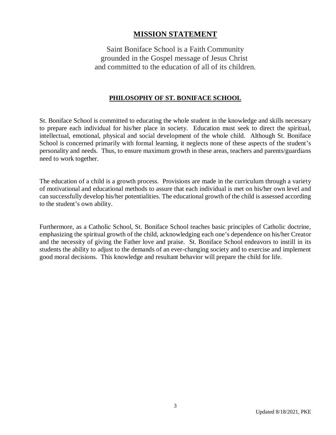#### **MISSION STATEMENT**

Saint Boniface School is a Faith Community grounded in the Gospel message of Jesus Christ and committed to the education of all of its children.

#### **PHILOSOPHY OF ST. BONIFACE SCHOOL**

St. Boniface School is committed to educating the whole student in the knowledge and skills necessary to prepare each individual for his/her place in society. Education must seek to direct the spiritual, intellectual, emotional, physical and social development of the whole child. Although St. Boniface School is concerned primarily with formal learning, it neglects none of these aspects of the student's personality and needs. Thus, to ensure maximum growth in these areas, teachers and parents/guardians need to work together.

The education of a child is a growth process. Provisions are made in the curriculum through a variety of motivational and educational methods to assure that each individual is met on his/her own level and can successfully develop his/her potentialities. The educational growth of the child is assessed according to the student's own ability.

Furthermore, as a Catholic School, St. Boniface School teaches basic principles of Catholic doctrine, emphasizing the spiritual growth of the child, acknowledging each one's dependence on his/her Creator and the necessity of giving the Father love and praise. St. Boniface School endeavors to instill in its students the ability to adjust to the demands of an ever-changing society and to exercise and implement good moral decisions. This knowledge and resultant behavior will prepare the child for life.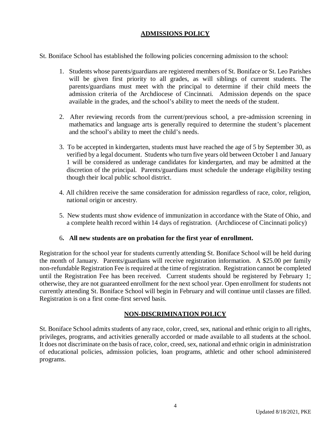#### **ADMISSIONS POLICY**

St. Boniface School has established the following policies concerning admission to the school:

- 1. Students whose parents/guardians are registered members of St. Boniface or St. Leo Parishes will be given first priority to all grades, as will siblings of current students. The parents/guardians must meet with the principal to determine if their child meets the admission criteria of the Archdiocese of Cincinnati. Admission depends on the space available in the grades, and the school's ability to meet the needs of the student.
- 2. After reviewing records from the current/previous school, a pre-admission screening in mathematics and language arts is generally required to determine the student's placement and the school's ability to meet the child's needs.
- 3. To be accepted in kindergarten, students must have reached the age of 5 by September 30, as verified by a legal document. Students who turn five years old between October 1 and January 1 will be considered as underage candidates for kindergarten, and may be admitted at the discretion of the principal. Parents/guardians must schedule the underage eligibility testing though their local public school district.
- 4. All children receive the same consideration for admission regardless of race, color, religion, national origin or ancestry.
- 5. New students must show evidence of immunization in accordance with the State of Ohio, and a complete health record within 14 days of registration. (Archdiocese of Cincinnati policy)

#### 6**. All new students are on probation for the first year of enrollment.**

Registration for the school year for students currently attending St. Boniface School will be held during the month of January. Parents/guardians will receive registration information. A \$25.00 per family non-refundable Registration Fee is required at the time of registration. Registration cannot be completed until the Registration Fee has been received. Current students should be registered by February 1; otherwise, they are not guaranteed enrollment for the next school year. Open enrollment for students not currently attending St. Boniface School will begin in February and will continue until classes are filled. Registration is on a first come-first served basis.

#### **NON-DISCRIMINATION POLICY**

St. Boniface School admits students of any race, color, creed, sex, national and ethnic origin to all rights, privileges, programs, and activities generally accorded or made available to all students at the school. It does not discriminate on the basis of race, color, creed, sex, national and ethnic origin in administration of educational policies, admission policies, loan programs, athletic and other school administered programs.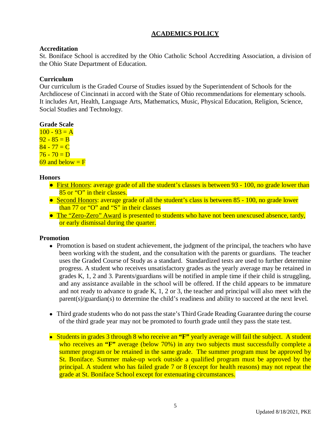#### **ACADEMICS POLICY**

#### **Accreditation**

St. Boniface School is accredited by the Ohio Catholic School Accrediting Association, a division of the Ohio State Department of Education.

#### **Curriculum**

Our curriculum is the Graded Course of Studies issued by the Superintendent of Schools for the Archdiocese of Cincinnati in accord with the State of Ohio recommendations for elementary schools. It includes Art, Health, Language Arts, Mathematics, Music, Physical Education, Religion, Science, Social Studies and Technology.

#### **Grade Scale**

 $100 - 93 = A$  $92 - 85 = B$  $84 - 77 = C$  $76 - 70 = D$ 69 and below  $=$  F

#### **Honors**

- First Honors: average grade of all the student's classes is between 93 100, no grade lower than 85 or "O" in their classes.
- Second Honors: average grade of all the student's class is between 85 100, no grade lower than 77 or "O" and "S" in their classes
- The "Zero-Zero" Award is presented to students who have not been unexcused absence, tardy, or early dismissal during the quarter.

#### **Promotion**

- Promotion is based on student achievement, the judgment of the principal, the teachers who have been working with the student, and the consultation with the parents or guardians. The teacher uses the Graded Course of Study as a standard. Standardized tests are used to further determine progress. A student who receives unsatisfactory grades as the yearly average may be retained in grades K, 1, 2 and 3. Parents/guardians will be notified in ample time if their child is struggling, and any assistance available in the school will be offered. If the child appears to be immature and not ready to advance to grade K, 1, 2 or 3, the teacher and principal will also meet with the parent(s)/guardian(s) to determine the child's readiness and ability to succeed at the next level.
- Third grade students who do not pass the state's Third Grade Reading Guarantee during the course of the third grade year may not be promoted to fourth grade until they pass the state test.
- Students in grades 3 through 8 who receive an **"F"** yearly average will fail the subject. A student who receives an "**F**" average (below 70%) in any two subjects must successfully complete a summer program or be retained in the same grade. The summer program must be approved by St. Boniface. Summer make-up work outside a qualified program must be approved by the principal. A student who has failed grade 7 or 8 (except for health reasons) may not repeat the grade at St. Boniface School except for extenuating circumstances.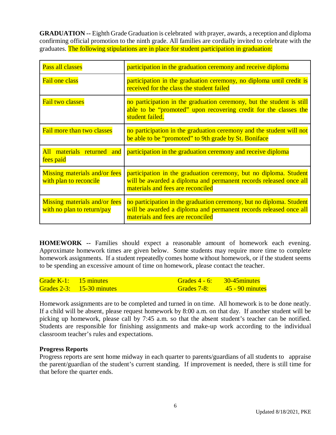**GRADUATION --** Eighth Grade Graduation is celebrated with prayer, awards, a reception and diploma confirming official promotion to the ninth grade. All families are cordially invited to celebrate with the graduates. The following stipulations are in place for student participation in graduation:

| Pass all classes                                                   | participation in the graduation ceremony and receive diploma                                                                                                                   |
|--------------------------------------------------------------------|--------------------------------------------------------------------------------------------------------------------------------------------------------------------------------|
| <b>Fail one class</b>                                              | participation in the graduation ceremony, no diploma until credit is<br>received for the class the student failed                                                              |
| <b>Fail two classes</b>                                            | no participation in the graduation ceremony, but the student is still<br>able to be "promoted" upon recovering credit for the classes the<br>student failed.                   |
| <b>Fail more than two classes</b>                                  | no participation in the graduation ceremony and the student will not<br>be able to be "promoted" to 9th grade by St. Boniface                                                  |
| All materials returned and<br>fees paid                            | participation in the graduation ceremony and receive diploma                                                                                                                   |
| Missing materials and/or fees<br>with plan to reconcile            | participation in the graduation ceremony, but no diploma. Student<br>will be awarded a diploma and permanent records released once all<br>materials and fees are reconciled    |
| <b>Missing materials and/or fees</b><br>with no plan to return/pay | no participation in the graduation ceremony, but no diploma. Student<br>will be awarded a diploma and permanent records released once all<br>materials and fees are reconciled |

**HOMEWORK --** Families should expect a reasonable amount of homework each evening. Approximate homework times are given below. Some students may require more time to complete homework assignments. If a student repeatedly comes home without homework, or if the student seems to be spending an excessive amount of time on homework, please contact the teacher.

| Grade $K-1$ : 15 minutes |                              | Grades $4 - 6$ : 30-45 minutes |  |
|--------------------------|------------------------------|--------------------------------|--|
|                          | Grades $2-3$ : 15-30 minutes | Grades $7-8$ : $45-90$ minutes |  |

Homework assignments are to be completed and turned in on time. All homework is to be done neatly. If a child will be absent, please request homework by 8:00 a.m. on that day. If another student will be picking up homework, please call by 7:45 a.m. so that the absent student's teacher can be notified. Students are responsible for finishing assignments and make-up work according to the individual classroom teacher's rules and expectations.

#### **Progress Reports**

Progress reports are sent home midway in each quarter to parents/guardians of all students to appraise the parent/guardian of the student's current standing. If improvement is needed, there is still time for that before the quarter ends.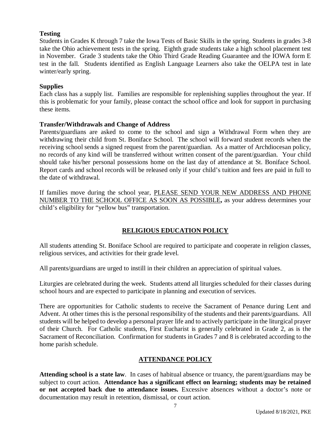#### **Testing**

Students in Grades K through 7 take the Iowa Tests of Basic Skills in the spring. Students in grades 3-8 take the Ohio achievement tests in the spring. Eighth grade students take a high school placement test in November. Grade 3 students take the Ohio Third Grade Reading Guarantee and the IOWA form E test in the fall. Students identified as English Language Learners also take the OELPA test in late winter/early spring.

#### **Supplies**

Each class has a supply list. Families are responsible for replenishing supplies throughout the year. If this is problematic for your family, please contact the school office and look for support in purchasing these items.

#### **Transfer/Withdrawals and Change of Address**

Parents/guardians are asked to come to the school and sign a Withdrawal Form when they are withdrawing their child from St. Boniface School. The school will forward student records when the receiving school sends a signed request from the parent/guardian. As a matter of Archdiocesan policy, no records of any kind will be transferred without written consent of the parent/guardian. Your child should take his/her personal possessions home on the last day of attendance at St. Boniface School. Report cards and school records will be released only if your child's tuition and fees are paid in full to the date of withdrawal.

If families move during the school year, PLEASE SEND YOUR NEW ADDRESS AND PHONE NUMBER TO THE SCHOOL OFFICE AS SOON AS POSSIBLE**,** as your address determines your child's eligibility for "yellow bus" transportation.

#### **RELIGIOUS EDUCATION POLICY**

All students attending St. Boniface School are required to participate and cooperate in religion classes, religious services, and activities for their grade level.

All parents/guardians are urged to instill in their children an appreciation of spiritual values.

Liturgies are celebrated during the week. Students attend all liturgies scheduled for their classes during school hours and are expected to participate in planning and execution of services.

There are opportunities for Catholic students to receive the Sacrament of Penance during Lent and Advent. At other times this is the personal responsibility of the students and their parents/guardians. All students will be helped to develop a personal prayer life and to actively participate in the liturgical prayer of their Church. For Catholic students, First Eucharist is generally celebrated in Grade 2, as is the Sacrament of Reconciliation. Confirmation for students in Grades 7 and 8 is celebrated according to the home parish schedule.

#### **ATTENDANCE POLICY**

**Attending school is a state law**. In cases of habitual absence or truancy, the parent/guardians may be subject to court action. **Attendance has a significant effect on learning; students may be retained or not accepted back due to attendance issues.** Excessive absences without a doctor's note or documentation may result in retention, dismissal, or court action.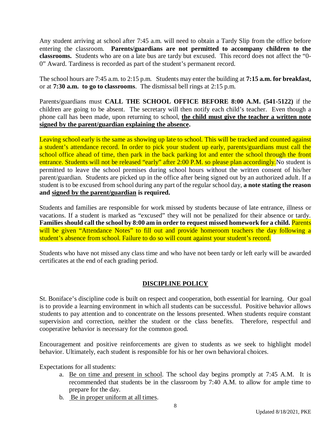Any student arriving at school after 7:45 a.m. will need to obtain a Tardy Slip from the office before entering the classroom. **Parents/guardians are not permitted to accompany children to the classrooms.** Students who are on a late bus are tardy but excused. This record does not affect the "0- 0" Award. Tardiness is recorded as part of the student's permanent record.

The school hours are 7:45 a.m. to 2:15 p.m. Students may enter the building at **7:15 a.m. for breakfast,** or at **7:30 a.m. to go to classrooms**. The dismissal bell rings at 2:15 p.m.

Parents/guardians must **CALL THE SCHOOL OFFICE BEFORE 8:00 A.M. (541-5122)** if the children are going to be absent. The secretary will then notify each child's teacher. Even though a phone call has been made, upon returning to school, **the child must give the teacher a written note signed by the parent/guardian explaining the absence.**

Leaving school early is the same as showing up late to school. This will be tracked and counted against a student's attendance record. In order to pick your student up early, parents/guardians must call the school office ahead of time, then park in the back parking lot and enter the school through the front entrance. Students will not be released "early" after 2:00 P.M. so please plan accordingly. No student is permitted to leave the school premises during school hours without the written consent of his/her parent/guardian. Students are picked up in the office after being signed out by an authorized adult. If a student is to be excused from school during any part of the regular school day, **a note stating the reason and signed by the parent/guardian is required.**

Students and families are responsible for work missed by students because of late entrance, illness or vacations. If a student is marked as "excused" they will not be penalized for their absence or tardy. Families should call the school by 8:00 am in order to request missed homework for a child. Parents will be given "Attendance Notes" to fill out and provide homeroom teachers the day following a student's absence from school. Failure to do so will count against your student's record.

Students who have not missed any class time and who have not been tardy or left early will be awarded certificates at the end of each grading period.

#### **DISCIPLINE POLICY**

St. Boniface's discipline code is built on respect and cooperation, both essential for learning. Our goal is to provide a learning environment in which all students can be successful. Positive behavior allows students to pay attention and to concentrate on the lessons presented. When students require constant supervision and correction, neither the student or the class benefits. Therefore, respectful and cooperative behavior is necessary for the common good.

Encouragement and positive reinforcements are given to students as we seek to highlight model behavior. Ultimately, each student is responsible for his or her own behavioral choices.

Expectations for all students:

- a. Be on time and present in school. The school day begins promptly at 7:45 A.M. It is recommended that students be in the classroom by 7:40 A.M. to allow for ample time to prepare for the day.
- b. Be in proper uniform at all times.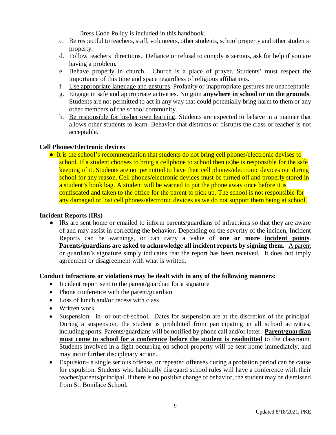Dress Code Policy is included in this handbook.

- c. Be respectful to teachers, staff, volunteers, other students, school property and other students' property.
- d. Follow teachers' directions. Defiance or refusal to comply is serious, ask for help if you are having a problem.
- e. Behave properly in church. Church is a place of prayer. Students' must respect the importance of this time and space regardless of religious affiliations.
- f. Use appropriate language and gestures. Profanity or inappropriate gestures are unacceptable.
- g. Engage in safe and appropriate activities. No gum **anywhere in school or on the grounds**. Students are not permitted to act in any way that could potentially bring harm to them or any other members of the school community.
- h. Be responsible for his/her own learning. Students are expected to behave in a manner that allows other students to learn. Behavior that distracts or disrupts the class or teacher is not acceptable.

#### **Cell Phones/Electronic devices**

● It is the school's recommendation that students do not bring cell phones/electronic devises to school. If a student chooses to bring a cellphone to school then (s) he is responsible for the safe keeping of it. Students are not permitted to have their cell phones/electronic devices out during school for any reason. Cell phones/electronic devices must be turned off and properly stored in a student's book bag. A student will be warned to put the phone away once before it is confiscated and taken to the office for the parent to pick up. The school is not responsible for any damaged or lost cell phones/electronic devices as we do not support them being at school.

#### **Incident Reports (IRs)**

● IRs are sent home or emailed to inform parents/guardians of infractions so that they are aware of and may assist in correcting the behavior. Depending on the severity of the inciden, Incident Reports can be warnings, or can carry a value of **one or more incident points**. **Parents/guardians are asked to acknowledge all incident reports by signing them.** A parent or guardian's signature simply indicates that the report has been received. It does not imply agreement or disagreement with what is written.

#### **Conduct infractions or violations may be dealt with in any of the following manners:**

- Incident report sent to the parent/guardian for a signature
- Phone conference with the parent/guardian
- Loss of lunch and/or recess with class
- Written work
- Suspension: in- or out-of-school. Dates for suspension are at the discretion of the principal. During a suspension, the student is prohibited from participating in all school activities, including sports. Parents/guardians will be notified by phone call and/or letter. **Parent/guardian must come to school for a conference before the student is readmitted** to the classroom. Students involved in a fight occurring on school property will be sent home immediately, and may incur further disciplinary action.
- Expulsion– a single serious offense, or repeated offenses during a probation period can be cause for expulsion. Students who habitually disregard school rules will have a conference with their teacher/parents/principal. If there is no positive change of behavior, the student may be dismissed from St. Boniface School.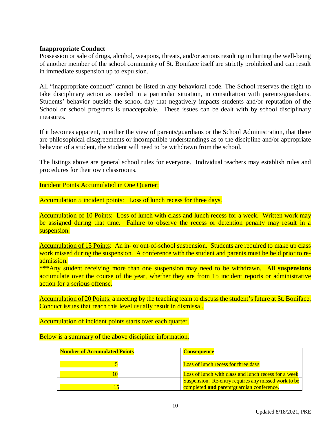#### **Inappropriate Conduct**

Possession or sale of drugs, alcohol, weapons, threats, and/or actions resulting in hurting the well-being of another member of the school community of St. Boniface itself are strictly prohibited and can result in immediate suspension up to expulsion.

All "inappropriate conduct" cannot be listed in any behavioral code. The School reserves the right to take disciplinary action as needed in a particular situation, in consultation with parents/guardians. Students' behavior outside the school day that negatively impacts students and/or reputation of the School or school programs is unacceptable. These issues can be dealt with by school disciplinary measures.

If it becomes apparent, in either the view of parents/guardians or the School Administration, that there are philosophical disagreements or incompatible understandings as to the discipline and/or appropriate behavior of a student, the student will need to be withdrawn from the school.

The listings above are general school rules for everyone. Individual teachers may establish rules and procedures for their own classrooms.

Incident Points Accumulated in One Quarter:

Accumulation 5 incident points: Loss of lunch recess for three days.

Accumulation of 10 Points: Loss of lunch with class and lunch recess for a week. Written work may be assigned during that time. Failure to observe the recess or detention penalty may result in a suspension.

Accumulation of 15 Points: An in- or out-of-school suspension. Students are required to make up class work missed during the suspension. A conference with the student and parents must be held prior to readmission.

\*\*\*Any student receiving more than one suspension may need to be withdrawn. All **suspensions** accumulate over the course of the year, whether they are from 15 incident reports or administrative action for a serious offense.

Accumulation of 20 Points: a meeting by the teaching team to discuss the student's future at St. Boniface. Conduct issues that reach this level usually result in dismissal.

Accumulation of incident points starts over each quarter.

Below is a summary of the above discipline information.

| <b>Number of Accumulated Points</b> | <b>Consequence</b>                                                                               |
|-------------------------------------|--------------------------------------------------------------------------------------------------|
|                                     | <b>Loss of lunch recess for three days</b>                                                       |
|                                     | Loss of lunch with class and lunch recess for a week                                             |
|                                     | Suspension. Re-entry requires any missed work to be<br>completed and parent/guardian conference. |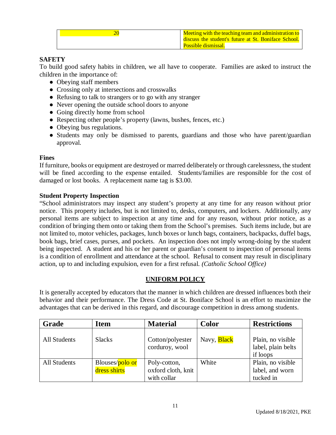| Meeting with the teaching team and administration to |
|------------------------------------------------------|
| discuss the student's future at St. Boniface School. |
| <b>Possible dismissal.</b>                           |

#### **SAFETY**

To build good safety habits in children, we all have to cooperate. Families are asked to instruct the children in the importance of:

- Obeying staff members
- Crossing only at intersections and crosswalks
- Refusing to talk to strangers or to go with any stranger
- Never opening the outside school doors to anyone
- Going directly home from school
- Respecting other people's property (lawns, bushes, fences, etc.)
- Obeying bus regulations.
- Students may only be dismissed to parents, guardians and those who have parent/guardian approval.

#### **Fines**

If furniture, books or equipment are destroyed or marred deliberately or through carelessness, the student will be fined according to the expense entailed. Students/families are responsible for the cost of damaged or lost books. A replacement name tag is \$3.00.

#### **Student Property Inspection**

"School administrators may inspect any student's property at any time for any reason without prior notice. This property includes, but is not limited to, desks, computers, and lockers. Additionally, any personal items are subject to inspection at any time and for any reason, without prior notice, as a condition of bringing them onto or taking them from the School's premises. Such items include, but are not limited to, motor vehicles, packages, lunch boxes or lunch bags, containers, backpacks, duffel bags, book bags, brief cases, purses, and pockets. An inspection does not imply wrong-doing by the student being inspected. A student and his or her parent or guardian's consent to inspection of personal items is a condition of enrollment and attendance at the school. Refusal to consent may result in disciplinary action, up to and including expulsion, even for a first refusal. *(Catholic School Office)*

#### **UNIFORM POLICY**

It is generally accepted by educators that the manner in which children are dressed influences both their behavior and their performance. The Dress Code at St. Boniface School is an effort to maximize the advantages that can be derived in this regard, and discourage competition in dress among students.

| Grade        | <b>Item</b>                     | <b>Material</b>                                   | <b>Color</b>       | <b>Restrictions</b>                                 |
|--------------|---------------------------------|---------------------------------------------------|--------------------|-----------------------------------------------------|
| All Students | <b>Slacks</b>                   | Cotton/polyester<br>corduroy, wool                | Navy, <b>Black</b> | Plain, no visible<br>label, plain belts<br>if loops |
| All Students | Blouses/polo or<br>dress shirts | Poly-cotton,<br>oxford cloth, knit<br>with collar | White              | Plain, no visible<br>label, and worn<br>tucked in   |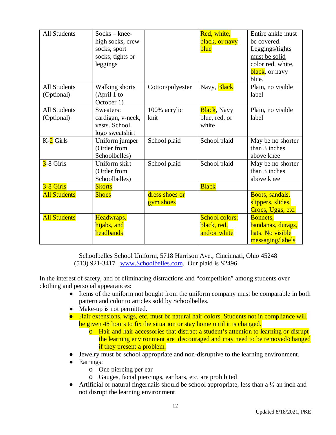| <b>All Students</b>               | $Socks - knee-$<br>high socks, crew<br>socks, sport<br>socks, tights or<br>leggings |                             | Red, white,<br>black, or navy<br>blue                | Entire ankle must<br>be covered.<br>Leggings/tights<br>must be solid<br>color red, white,<br>black, or navy<br>blue. |
|-----------------------------------|-------------------------------------------------------------------------------------|-----------------------------|------------------------------------------------------|----------------------------------------------------------------------------------------------------------------------|
| <b>All Students</b><br>(Optional) | <b>Walking shorts</b><br>(April 1 to<br>October 1)                                  | Cotton/polyester            | Navy, <b>Black</b>                                   | Plain, no visible<br>label                                                                                           |
| <b>All Students</b><br>(Optional) | Sweaters:<br>cardigan, v-neck,<br>vests. School<br>logo sweatshirt                  | 100% acrylic<br>knit        | <b>Black</b> , Navy<br>blue, red, or<br>white        | Plain, no visible<br>label                                                                                           |
| $K-2$ Girls                       | Uniform jumper<br>(Order from<br>Schoolbelles)                                      | School plaid                | School plaid                                         | May be no shorter<br>than 3 inches<br>above knee                                                                     |
| $3-8$ Girls                       | Uniform skirt<br>(Order from<br>Schoolbelles)                                       | School plaid                | School plaid                                         | May be no shorter<br>than 3 inches<br>above knee                                                                     |
| 3-8 Girls<br><b>All Students</b>  | <b>Skorts</b><br><b>Shoes</b>                                                       | dress shoes or<br>gym shoes | <b>Black</b>                                         | Boots, sandals,<br>slippers, slides,<br>Crocs, Uggs, etc.                                                            |
| <b>All Students</b>               | Headwraps,<br>hijabs, and<br>headbands                                              |                             | <b>School colors:</b><br>black, red,<br>and/or white | <b>Bonnets,</b><br>bandanas, durags,<br>hats. No visible<br>messaging/labels                                         |

Schoolbelles School Uniform, 5718 Harrison Ave., Cincinnati, Ohio 45248 (513) 921-3417 [www.Schoolbelles.com.](http://www.Schoolbelles.com.) Our plaid is S2496.

In the interest of safety, and of eliminating distractions and "competition" among students over clothing and personal appearances:

- Items of the uniform not bought from the uniform company must be comparable in both pattern and color to articles sold by Schoolbelles.
- Make-up is not permitted.
- Hair extensions, wigs, etc. must be natural hair colors. Students not in compliance will be given 48 hours to fix the situation or stay home until it is changed.
	- o Hair and hair accessories that distract a student's attention to learning or disrupt the learning environment are discouraged and may need to be removed/changed if they present a problem.
- **•** Jewelry must be school appropriate and non-disruptive to the learning environment.
- Earrings:
	- o One piercing per ear
	- o Gauges, facial piercings, ear bars, etc. are prohibited
- Artificial or natural fingernails should be school appropriate, less than a  $\frac{1}{2}$  an inch and not disrupt the learning environment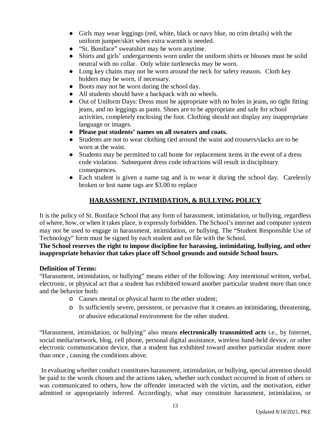- Girls may wear leggings (red, white, black or navy blue, no trim details) with the uniform jumper/skirt when extra warmth is needed.
- "St. Boniface" sweatshirt may be worn anytime.
- Shirts and girls' undergarments worn under the uniform shirts or blouses must be solid neutral with no collar. Only white turtlenecks may be worn.
- Long key chains may not be worn around the neck for safety reasons. Cloth key holders may be worn, if necessary.
- Boots may not be worn during the school day.
- All students should have a backpack with no wheels.
- Out of Uniform Days: Dress must be appropriate with no holes in jeans, no tight fitting jeans, and no leggings as pants. Shoes are to be appropriate and safe for school activities, completely enclosing the foot. Clothing should not display any inappropriate language or images.
- **Please put students' names on all sweaters and coats.**
- Students are not to wear clothing tied around the waist and trousers/slacks are to be worn at the waist.
- Students may be permitted to call home for replacement items in the event of a dress code violation. Subsequent dress code infractions will result in disciplinary consequences.
- Each student is given a name tag and is to wear it during the school day. Carelessly broken or lost name tags are \$3.00 to replace

#### **HARASSMENT, INTIMIDATION, & BULLYING POLICY**

It is the policy of St. Boniface School that any form of harassment, intimidation, or bullying, regardless of where, how, or when it takes place, is expressly forbidden. The School's internet and computer system may not be used to engage in harassment, intimidation, or bullying. The "Student Responsible Use of Technology" form must be signed by each student and on file with the School.

#### **The School reserves the right to impose discipline for harassing, intimidating, bullying, and other inappropriate behavior that takes place off School grounds and outside School hours.**

#### **Definition of Terms:**

"Harassment, intimidation, or bullying" means either of the following: Any intentional written, verbal, electronic, or physical act that a student has exhibited toward another particular student more than once and the behavior both:

- o Causes mental or physical harm to the other student;
- o Is sufficiently severe, persistent, or pervasive that it creates an intimidating, threatening, or abusive educational environment for the other student.

"Harassment, intimidation, or bullying" also means **electronically transmitted acts** i.e., by Internet, social media/network, blog, cell phone, personal digital assistance, wireless hand-held device, or other electronic communication device, that a student has exhibited toward another particular student more than once , causing the conditions above.

In evaluating whether conduct constitutes harassment, intimidation, or bullying, special attention should be paid to the words chosen and the actions taken, whether such conduct occurred in front of others or was communicated to others, how the offender interacted with the victim, and the motivation, either admitted or appropriately inferred. Accordingly, what may constitute harassment, intimidation, or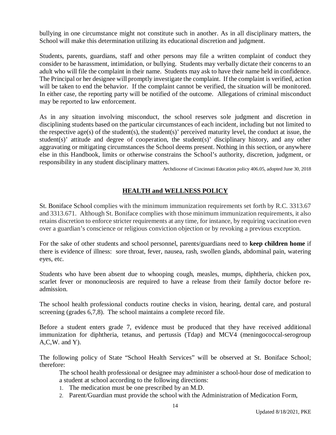bullying in one circumstance might not constitute such in another. As in all disciplinary matters, the School will make this determination utilizing its educational discretion and judgment.

Students, parents, guardians, staff and other persons may file a written complaint of conduct they consider to be harassment, intimidation, or bullying. Students may verbally dictate their concerns to an adult who will file the complaint in their name. Students may ask to have their name held in confidence. The Principal or her designee will promptly investigate the complaint. If the complaint is verified, action will be taken to end the behavior. If the complaint cannot be verified, the situation will be monitored. In either case, the reporting party will be notified of the outcome. Allegations of criminal misconduct may be reported to law enforcement.

As in any situation involving misconduct, the school reserves sole judgment and discretion in disciplining students based on the particular circumstances of each incident, including but not limited to the respective age(s) of the student(s), the student(s)' perceived maturity level, the conduct at issue, the student(s)' attitude and degree of cooperation, the student(s)' disciplinary history, and any other aggravating or mitigating circumstances the School deems present. Nothing in this section, or anywhere else in this Handbook, limits or otherwise constrains the School's authority, discretion, judgment, or responsibility in any student disciplinary matters.

Archdiocese of Cincinnati Education policy 406.05, adopted June 30, 2018

#### **HEALTH and WELLNESS POLICY**

St. Boniface School complies with the minimum immunization requirements set forth by R.C. 3313.67 and 3313.671. Although St. Boniface complies with those minimum immunization requirements, it also retains discretion to enforce stricter requirements at any time, for instance, by requiring vaccination even over a guardian's conscience or religious conviction objection or by revoking a previous exception.

For the sake of other students and school personnel, parents/guardians need to **keep children home** if there is evidence of illness: sore throat, fever, nausea, rash, swollen glands, abdominal pain, watering eyes, etc.

Students who have been absent due to whooping cough, measles, mumps, diphtheria, chicken pox, scarlet fever or mononucleosis are required to have a release from their family doctor before readmission.

The school health professional conducts routine checks in vision, hearing, dental care, and postural screening (grades 6,7,8). The school maintains a complete record file.

Before a student enters grade 7, evidence must be produced that they have received additional immunization for diphtheria, tetanus, and pertussis (Tdap) and MCV4 (meningococcal-serogroup A,C,W. and Y).

The following policy of State "School Health Services" will be observed at St. Boniface School; therefore:

The school health professional or designee may administer a school-hour dose of medication to a student at school according to the following directions:

- 1. The medication must be one prescribed by an M.D.
- 2. Parent/Guardian must provide the school with the Administration of Medication Form,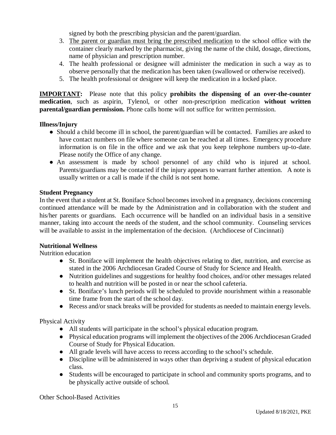signed by both the prescribing physician and the parent/guardian.

- 3. The parent or guardian must bring the prescribed medication to the school office with the container clearly marked by the pharmacist, giving the name of the child, dosage, directions, name of physician and prescription number.
- 4. The health professional or designee will administer the medication in such a way as to observe personally that the medication has been taken (swallowed or otherwise received).
- 5. The health professional or designee will keep the medication in a locked place.

**IMPORTANT:** Please note that this policy **prohibits the dispensing of an over-the-counter medication**, such as aspirin, Tylenol, or other non-prescription medication **without written parental/guardian permission.** Phone calls home will not suffice for written permission.

#### **Illness/Injury**

- Should a child become ill in school, the parent/guardian will be contacted. Families are asked to have contact numbers on file where someone can be reached at all times. Emergency procedure information is on file in the office and we ask that you keep telephone numbers up-to-date. Please notify the Office of any change.
- An assessment is made by school personnel of any child who is injured at school. Parents/guardians may be contacted if the injury appears to warrant further attention. A note is usually written or a call is made if the child is not sent home.

#### **Student Pregnancy**

In the event that a student at St. Boniface School becomes involved in a pregnancy, decisions concerning continued attendance will be made by the Administration and in collaboration with the student and his/her parents or guardians. Each occurrence will be handled on an individual basis in a sensitive manner, taking into account the needs of the student, and the school community. Counseling services will be available to assist in the implementation of the decision. (Archdiocese of Cincinnati)

#### **Nutritional Wellness**

Nutrition education

- St. Boniface will implement the health objectives relating to diet, nutrition, and exercise as stated in the 2006 Archdiocesan Graded Course of Study for Science and Health.
- Nutrition guidelines and suggestions for healthy food choices, and/or other messages related to health and nutrition will be posted in or near the school cafeteria.
- St. Boniface's lunch periods will be scheduled to provide nourishment within a reasonable time frame from the start of the school day.
- Recess and/or snack breaks will be provided for students as needed to maintain energy levels.

Physical Activity

- All students will participate in the school's physical education program.
- Physical education programs will implement the objectives of the 2006 Archdiocesan Graded Course of Study for Physical Education.
- All grade levels will have access to recess according to the school's schedule.
- Discipline will be administered in ways other than depriving a student of physical education class.
- Students will be encouraged to participate in school and community sports programs, and to be physically active outside of school.

Other School-Based Activities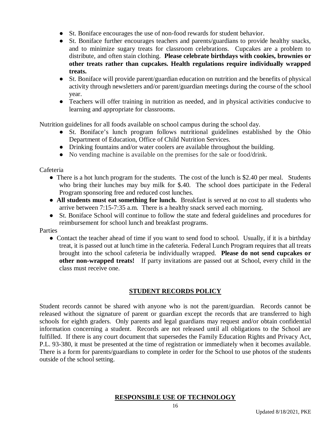- St. Boniface encourages the use of non-food rewards for student behavior.
- St. Boniface further encourages teachers and parents/guardians to provide healthy snacks, and to minimize sugary treats for classroom celebrations. Cupcakes are a problem to distribute, and often stain clothing. **Please celebrate birthdays with cookies, brownies or other treats rather than cupcakes. Health regulations require individually wrapped treats.**
- St. Boniface will provide parent/guardian education on nutrition and the benefits of physical activity through newsletters and/or parent/guardian meetings during the course of the school year.
- Teachers will offer training in nutrition as needed, and in physical activities conducive to learning and appropriate for classrooms.

Nutrition guidelines for all foods available on school campus during the school day.

- St. Boniface's lunch program follows nutritional guidelines established by the Ohio Department of Education, Office of Child Nutrition Services.
- Drinking fountains and/or water coolers are available throughout the building.
- No vending machine is available on the premises for the sale or food/drink.

Cafeteria

- There is a hot lunch program for the students. The cost of the lunch is \$2.40 per meal. Students who bring their lunches may buy milk for \$.40. The school does participate in the Federal Program sponsoring free and reduced cost lunches.
- **All students must eat something for lunch.** Breakfast is served at no cost to all students who arrive between 7:15-7:35 a.m. There is a healthy snack served each morning.
- St. Boniface School will continue to follow the state and federal guidelines and procedures for reimbursement for school lunch and breakfast programs.

Parties

• Contact the teacher ahead of time if you want to send food to school. Usually, if it is a birthday treat, it is passed out at lunch time in the cafeteria. Federal Lunch Program requires that all treats brought into the school cafeteria be individually wrapped. **Please do not send cupcakes or other non-wrapped treats!** If party invitations are passed out at School, every child in the class must receive one.

#### **STUDENT RECORDS POLICY**

Student records cannot be shared with anyone who is not the parent/guardian. Records cannot be released without the signature of parent or guardian except the records that are transferred to high schools for eighth graders. Only parents and legal guardians may request and/or obtain confidential information concerning a student. Records are not released until all obligations to the School are fulfilled. If there is any court document that supersedes the Family Education Rights and Privacy Act, P.L. 93-380, it must be presented at the time of registration or immediately when it becomes available. There is a form for parents/guardians to complete in order for the School to use photos of the students outside of the school setting.

#### **RESPONSIBLE USE OF TECHNOLOGY**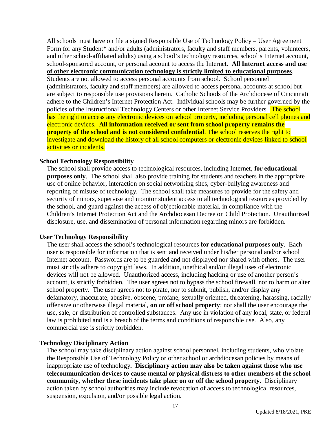All schools must have on file a signed Responsible Use of Technology Policy – User Agreement Form for any Student\* and/or adults (administrators, faculty and staff members, parents, volunteers, and other school-affiliated adults) using a school's technology resources, school's Internet account, school-sponsored account, or personal account to access the Internet. **All Internet access and use of other electronic communication technology is strictly limited to educational purposes**.

Students are not allowed to access personal accounts from school. School personnel (administrators, faculty and staff members) are allowed to access personal accounts at school but are subject to responsible use provisions herein. Catholic Schools of the Archdiocese of Cincinnati adhere to the Children's Internet Protection Act. Individual schools may be further governed by the policies of the Instructional Technology Centers or other Internet Service Providers. The school has the right to access any electronic devices on school property, including personal cell phones and electronic devices. **All information received or sent from school property remains the property of the school and is not considered confidential**. The school reserves the right to investigate and download the history of all school computers or electronic devices linked to school activities or incidents.

#### **School Technology Responsibility**

The school shall provide access to technological resources, including Internet, **for educational purposes only**. The school shall also provide training for students and teachers in the appropriate use of online behavior, interaction on social networking sites, cyber-bullying awareness and reporting of misuse of technology. The school shall take measures to provide for the safety and security of minors, supervise and monitor student access to all technological resources provided by the school, and guard against the access of objectionable material, in compliance with the Children's Internet Protection Act and the Archdiocesan Decree on Child Protection. Unauthorized disclosure, use, and dissemination of personal information regarding minors are forbidden.

#### **User Technology Responsibility**

The user shall access the school's technological resources **for educational purposes only**. Each user is responsible for information that is sent and received under his/her personal and/or school Internet account. Passwords are to be guarded and not displayed nor shared with others. The user must strictly adhere to copyright laws. In addition, unethical and/or illegal uses of electronic devices will not be allowed. Unauthorized access, including hacking or use of another person's account, is strictly forbidden. The user agrees not to bypass the school firewall, nor to harm or alter school property. The user agrees not to pirate, nor to submit, publish, and/or display any defamatory, inaccurate, abusive, obscene, profane, sexually oriented, threatening, harassing, racially offensive or otherwise illegal material, **on or off school property**; nor shall the user encourage the use, sale, or distribution of controlled substances. Any use in violation of any local, state, or federal law is prohibited and is a breach of the terms and conditions of responsible use. Also, any commercial use is strictly forbidden.

#### **Technology Disciplinary Action**

The school may take disciplinary action against school personnel, including students, who violate the Responsible Use of Technology Policy or other school or archdiocesan policies by means of inappropriate use of technology**. Disciplinary action may also be taken against those who use telecommunication devices to cause mental or physical distress to other members of the school community, whether these incidents take place on or off the school property**. Disciplinary action taken by school authorities may include revocation of access to technological resources, suspension, expulsion, and/or possible legal action.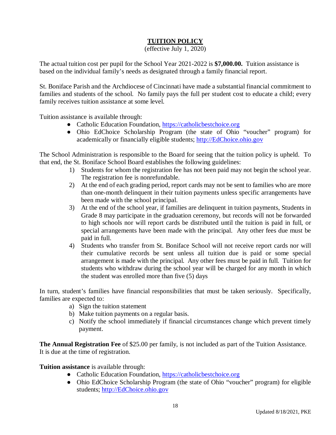#### **TUITION POLICY**

(effective July 1, 2020)

The actual tuition cost per pupil for the School Year 2021-2022 is **\$7,000.00.** Tuition assistance is based on the individual family's needs as designated through a family financial report.

St. Boniface Parish and the Archdiocese of Cincinnati have made a substantial financial commitment to families and students of the school. No family pays the full per student cost to educate a child; every family receives tuition assistance at some level.

Tuition assistance is available through:

- Catholic Education Foundation, <https://catholicbestchoice.org>
- Ohio EdChoice Scholarship Program (the state of Ohio "voucher" program) for academically or financially eligible students; <http://EdChoice.ohio.gov>

The School Administration is responsible to the Board for seeing that the tuition policy is upheld. To that end, the St. Boniface School Board establishes the following guidelines:

- 1) Students for whom the registration fee has not been paid may not begin the school year. The registration fee is nonrefundable.
- 2) At the end of each grading period, report cards may not be sent to families who are more than one-month delinquent in their tuition payments unless specific arrangements have been made with the school principal.
- 3) At the end of the school year, if families are delinquent in tuition payments, Students in Grade 8 may participate in the graduation ceremony, but records will not be forwarded to high schools nor will report cards be distributed until the tuition is paid in full, or special arrangements have been made with the principal. Any other fees due must be paid in full.
- 4) Students who transfer from St. Boniface School will not receive report cards nor will their cumulative records be sent unless all tuition due is paid or some special arrangement is made with the principal. Any other fees must be paid in full. Tuition for students who withdraw during the school year will be charged for any month in which the student was enrolled more than five (5) days

In turn, student's families have financial responsibilities that must be taken seriously. Specifically, families are expected to:

- a) Sign the tuition statement
- b) Make tuition payments on a regular basis.
- c) Notify the school immediately if financial circumstances change which prevent timely payment.

**The Annual Registration Fee** of \$25.00 per family, is not included as part of the Tuition Assistance. It is due at the time of registration.

**Tuition assistance** is available through:

- Catholic Education Foundation, <https://catholicbestchoice.org>
- Ohio EdChoice Scholarship Program (the state of Ohio "voucher" program) for eligible students; <http://EdChoice.ohio.gov>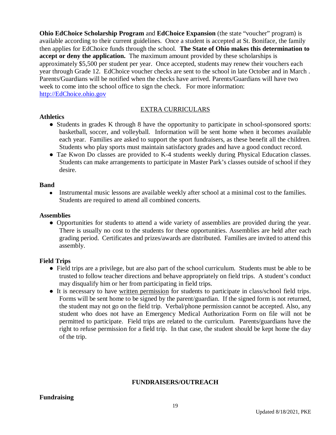**Ohio EdChoice Scholarship Program** and **EdChoice Expansion** (the state "voucher" program) is available according to their current guidelines. Once a student is accepted at St. Boniface, the family then applies for EdChoice funds through the school. **The State of Ohio makes this determination to accept or deny the application.** The maximum amount provided by these scholarships is approximately \$5,500 per student per year. Once accepted, students may renew their vouchers each year through Grade 12. EdChoice voucher checks are sent to the school in late October and in March . Parents/Guardians will be notified when the checks have arrived. Parents/Guardians will have two week to come into the school office to sign the check. For more information: <http://EdChoice.ohio.gov>

#### EXTRA CURRICULARS

#### **Athletics**

- Students in grades K through 8 have the opportunity to participate in school-sponsored sports: basketball, soccer, and volleyball. Information will be sent home when it becomes available each year. Families are asked to support the sport fundraisers, as these benefit all the children. Students who play sports must maintain satisfactory grades and have a good conduct record.
- Tae Kwon Do classes are provided to K-4 students weekly during Physical Education classes. Students can make arrangements to participate in Master Park's classes outside of school if they desire.

#### **Band**

• Instrumental music lessons are available weekly after school at a minimal cost to the families. Students are required to attend all combined concerts.

#### **Assemblies**

● Opportunities for students to attend a wide variety of assemblies are provided during the year. There is usually no cost to the students for these opportunities. Assemblies are held after each grading period. Certificates and prizes/awards are distributed. Families are invited to attend this assembly.

#### **Field Trips**

- Field trips are a privilege, but are also part of the school curriculum. Students must be able to be trusted to follow teacher directions and behave appropriately on field trips. A student's conduct may disqualify him or her from participating in field trips.
- It is necessary to have written permission for students to participate in class/school field trips. Forms will be sent home to be signed by the parent/guardian. If the signed form is not returned, the student may not go on the field trip. Verbal/phone permission cannot be accepted. Also, any student who does not have an Emergency Medical Authorization Form on file will not be permitted to participate. Field trips are related to the curriculum. Parents/guardians have the right to refuse permission for a field trip. In that case, the student should be kept home the day of the trip.

#### **FUNDRAISERS/OUTREACH**

#### **Fundraising**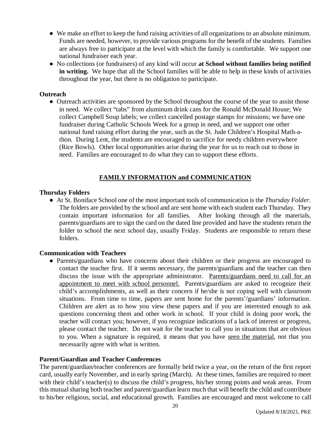- We make an effort to keep the fund raising activities of all organizations to an absolute minimum. Funds are needed, however, to provide various programs for the benefit of the students. Families are always free to participate at the level with which the family is comfortable. We support one national fundraiser each year.
- No collections (or fundraisers) of any kind will occur **at School without families being notified in writing.** We hope that all the School families will be able to help in these kinds of activities throughout the year, but there is no obligation to participate.

#### **Outreach**

• Outreach activities are sponsored by the School throughout the course of the year to assist those in need. We collect "tabs" from aluminum drink cans for the Ronald McDonald House; We collect Campbell Soup labels; we collect cancelled postage stamps for missions; we have one fundraiser during Catholic Schools Week for a group in need, and we support one other national fund raising effort during the year, such as the St. Jude Children's Hospital Math-athon. During Lent, the students are encouraged to sacrifice for needy children everywhere (Rice Bowls). Other local opportunities arise during the year for us to reach out to those in need. Families are encouraged to do what they can to support these efforts.

#### **FAMILY INFORMATION and COMMUNICATION**

#### **Thursday Folders**

● At St. Boniface School one of the most important tools of communication is the *Thursday Folder*. The folders are provided by the school and are sent home with each student each Thursday. They contain important information for all families. After looking through all the materials, parents/guardians are to sign the card on the dated line provided and have the students return the folder to school the next school day, usually Friday. Students are responsible to return these folders.

#### **Communication with Teachers**

● Parents/guardians who have concerns about their children or their progress are encouraged to contact the teacher first. If it seems necessary, the parents/guardians and the teacher can then discuss the issue with the appropriate administrator. Parents/guardians need to call for an appointment to meet with school personnel. Parents/guardians are asked to recognize their child's accomplishments, as well as their concern if he/she is not coping well with classroom situations. From time to time, papers are sent home for the parents'/guardians' information. Children are alert as to how you view these papers and if you are interested enough to ask questions concerning them and other work in school. If your child is doing poor work, the teacher will contact you; however, if you recognize indications of a lack of interest or progress, please contact the teacher. Do not wait for the teacher to call you in situations that are obvious to you. When a signature is required, it means that you have seen the material, not that you necessarily agree with what is written.

#### **Parent/Guardian and Teacher Conferences**

The parent/guardian/teacher conferences are formally held twice a year, on the return of the first report card, usually early November, and in early spring (March). At these times, families are required to meet with their child's teacher(s) to discuss the child's progress, his/her strong points and weak areas. From this mutual sharing both teacher and parent/guardian learn much that will benefit the child and contribute to his/her religious, social, and educational growth. Families are encouraged and most welcome to call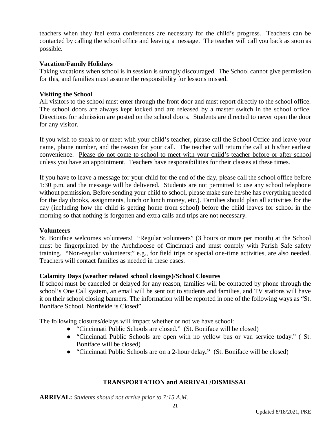teachers when they feel extra conferences are necessary for the child's progress. Teachers can be contacted by calling the school office and leaving a message. The teacher will call you back as soon as possible.

#### **Vacation/Family Holidays**

Taking vacations when school is in session is strongly discouraged. The School cannot give permission for this, and families must assume the responsibility for lessons missed.

#### **Visiting the School**

All visitors to the school must enter through the front door and must report directly to the school office. The school doors are always kept locked and are released by a master switch in the school office. Directions for admission are posted on the school doors. Students are directed to never open the door for any visitor.

If you wish to speak to or meet with your child's teacher, please call the School Office and leave your name, phone number, and the reason for your call. The teacher will return the call at his/her earliest convenience. Please do not come to school to meet with your child's teacher before or after school unless you have an appointment. Teachers have responsibilities for their classes at these times.

If you have to leave a message for your child for the end of the day, please call the school office before 1:30 p.m. and the message will be delivered. Students are not permitted to use any school telephone without permission. Before sending your child to school, please make sure he/she has everything needed for the day (books, assignments, lunch or lunch money, etc.). Families should plan all activities for the day (including how the child is getting home from school) before the child leaves for school in the morning so that nothing is forgotten and extra calls and trips are not necessary.

#### **Volunteers**

St. Boniface welcomes volunteers! "Regular volunteers" (3 hours or more per month) at the School must be fingerprinted by the Archdiocese of Cincinnati and must comply with Parish Safe safety training. "Non-regular volunteers;" e.g., for field trips or special one-time activities, are also needed. Teachers will contact families as needed in these cases.

#### **Calamity Days (weather related school closings)/School Closures**

If school must be canceled or delayed for any reason, families will be contacted by phone through the school's One Call system, an email will be sent out to students and families, and TV stations will have it on their school closing banners. The information will be reported in one of the following ways as "St. Boniface School, Northside is Closed"

The following closures/delays will impact whether or not we have school:

- "Cincinnati Public Schools are closed." (St. Boniface will be closed)
- "Cincinnati Public Schools are open with no yellow bus or van service today." ( St. Boniface will be closed)
- "Cincinnati Public Schools are on a 2-hour delay**."** (St. Boniface will be closed)

#### **TRANSPORTATION and ARRIVAL/DISMISSAL**

**ARRIVAL:** *Students should not arrive prior to 7:15 A.M.*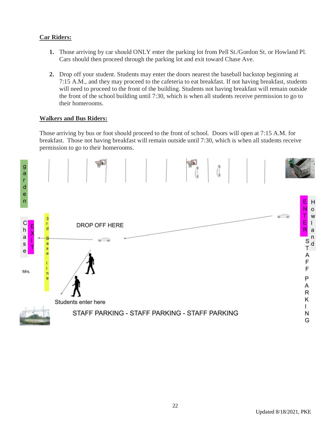#### **Car Riders:**

- **1.** Those arriving by car should ONLY enter the parking lot from Pell St./Gordon St. or Howland Pl. Cars should then proceed through the parking lot and exit toward Chase Ave.
- **2.** Drop off your student. Students may enter the doors nearest the baseball backstop beginning at 7:15 A.M., and they may proceed to the cafeteria to eat breakfast. If not having breakfast, students will need to proceed to the front of the building. Students not having breakfast will remain outside the front of the school building until 7:30, which is when all students receive permission to go to their homerooms.

#### **Walkers and Bus Riders:**

Those arriving by bus or foot should proceed to the front of school. Doors will open at 7:15 A.M. for breakfast. Those not having breakfast will remain outside until 7:30, which is when all students receive permission to go to their homerooms.

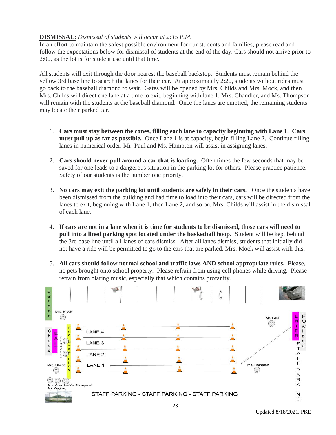#### **DISMISSAL:** *Dismissal of students will occur at 2:15 P.M.*

In an effort to maintain the safest possible environment for our students and families, please read and follow the expectations below for dismissal of students at the end of the day. Cars should not arrive prior to 2:00, as the lot is for student use until that time.

All students will exit through the door nearest the baseball backstop. Students must remain behind the yellow 3rd base line to search the lanes for their car. At approximately 2:20, students without rides must go back to the baseball diamond to wait. Gates will be opened by Mrs. Childs and Mrs. Mock, and then Mrs. Childs will direct one lane at a time to exit, beginning with lane 1. Mrs. Chandler, and Ms. Thompson will remain with the students at the baseball diamond. Once the lanes are emptied, the remaining students may locate their parked car.

- 1. **Cars must stay between the cones, filling each lane to capacity beginning with Lane 1. Cars must pull up as far as possible.** Once Lane 1 is at capacity, begin filling Lane 2. Continue filling lanes in numerical order. Mr. Paul and Ms. Hampton will assist in assigning lanes.
- 2. **Cars should never pull around a car that is loading.** Often times the few seconds that may be saved for one leads to a dangerous situation in the parking lot for others. Please practice patience. Safety of our students is the number one priority.
- 3. **No cars may exit the parking lot until students are safely in their cars.** Once the students have been dismissed from the building and had time to load into their cars, cars will be directed from the lanes to exit, beginning with Lane 1, then Lane 2, and so on. Mrs. Childs will assist in the dismissal of each lane.
- 4. **If cars are not in a lane when it is time for students to be dismissed, those cars will need to pull into a lined parking spot located under the basketball hoop.** Student will be kept behind the 3rd base line until all lanes of cars dismiss. After all lanes dismiss, students that initially did not have a ride will be permitted to go to the cars that are parked. Mrs. Mock will assist with this.
- 5. **All cars should follow normal school and traffic laws AND school appropriate rules.** Please, no pets brought onto school property. Please refrain from using cell phones while driving. Please refrain from blaring music, especially that which contains profanity.